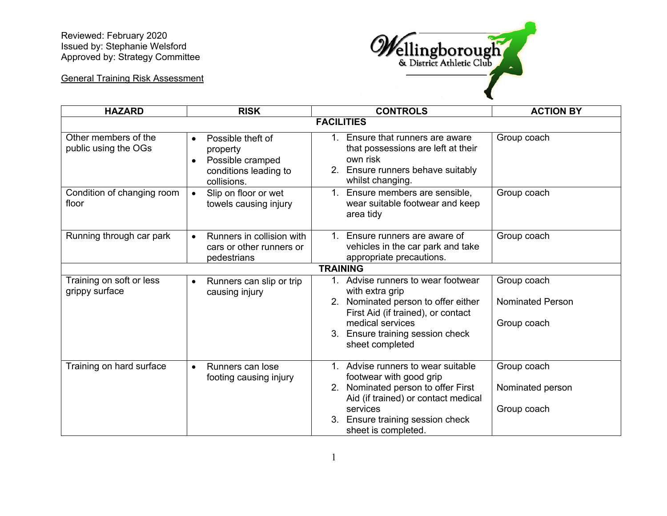Reviewed: February 2020 Issued by: Stephanie Welsford Approved by: Strategy Committee



General Training Risk Assessment

| <b>HAZARD</b>                                | <b>RISK</b>                                                                                                         | <b>CONTROLS</b>                                                                                                                                                                                                      | <b>ACTION BY</b>                               |  |
|----------------------------------------------|---------------------------------------------------------------------------------------------------------------------|----------------------------------------------------------------------------------------------------------------------------------------------------------------------------------------------------------------------|------------------------------------------------|--|
| <b>FACILITIES</b>                            |                                                                                                                     |                                                                                                                                                                                                                      |                                                |  |
| Other members of the<br>public using the OGs | Possible theft of<br>$\bullet$<br>property<br>Possible cramped<br>$\bullet$<br>conditions leading to<br>collisions. | 1. Ensure that runners are aware<br>that possessions are left at their<br>own risk<br>2. Ensure runners behave suitably<br>whilst changing.                                                                          | Group coach                                    |  |
| Condition of changing room<br>floor          | Slip on floor or wet<br>$\bullet$<br>towels causing injury                                                          | Ensure members are sensible,<br>wear suitable footwear and keep<br>area tidy                                                                                                                                         | Group coach                                    |  |
| Running through car park                     | Runners in collision with<br>$\bullet$<br>cars or other runners or<br>pedestrians                                   | Ensure runners are aware of<br>$1_{-}$<br>vehicles in the car park and take<br>appropriate precautions.                                                                                                              | Group coach                                    |  |
| <b>TRAINING</b>                              |                                                                                                                     |                                                                                                                                                                                                                      |                                                |  |
| Training on soft or less<br>grippy surface   | Runners can slip or trip<br>$\bullet$<br>causing injury                                                             | 1. Advise runners to wear footwear<br>with extra grip<br>2. Nominated person to offer either                                                                                                                         | Group coach<br><b>Nominated Person</b>         |  |
|                                              |                                                                                                                     | First Aid (if trained), or contact<br>medical services<br>3. Ensure training session check<br>sheet completed                                                                                                        | Group coach                                    |  |
| Training on hard surface                     | Runners can lose<br>$\bullet$<br>footing causing injury                                                             | 1. Advise runners to wear suitable<br>footwear with good grip<br>2. Nominated person to offer First<br>Aid (if trained) or contact medical<br>services<br>Ensure training session check<br>3.<br>sheet is completed. | Group coach<br>Nominated person<br>Group coach |  |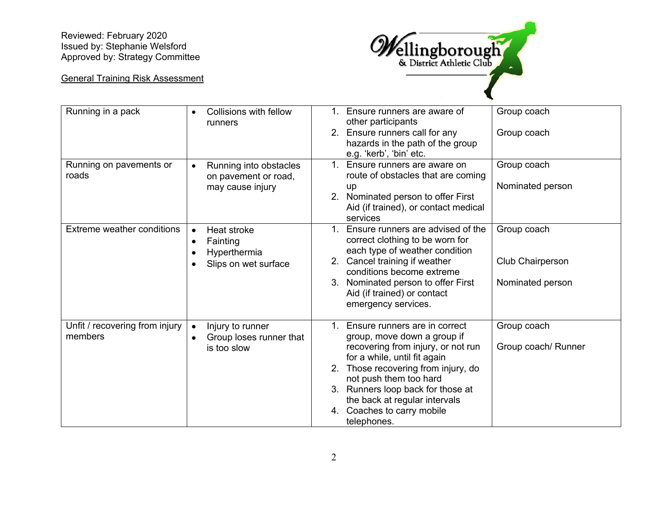Reviewed: February 2020 Issued by: Stephanie Welsford Approved by: Strategy Committee

## General Training Risk Assessment



| Running in a pack                         | Collisions with fellow<br>$\bullet$<br>runners                                                 | 1. Ensure runners are aware of<br>other participants<br>2. Ensure runners call for any<br>hazards in the path of the group<br>e.g. 'kerb', 'bin' etc.                                                                                                                                                                                | Group coach<br>Group coach                          |
|-------------------------------------------|------------------------------------------------------------------------------------------------|--------------------------------------------------------------------------------------------------------------------------------------------------------------------------------------------------------------------------------------------------------------------------------------------------------------------------------------|-----------------------------------------------------|
| Running on pavements or<br>roads          | Running into obstacles<br>$\bullet$<br>on pavement or road,<br>may cause injury                | Ensure runners are aware on<br>$1_{-}$<br>route of obstacles that are coming<br>up<br>2. Nominated person to offer First<br>Aid (if trained), or contact medical<br>services                                                                                                                                                         | Group coach<br>Nominated person                     |
| Extreme weather conditions                | Heat stroke<br>Fainting<br>$\bullet$<br>Hyperthermia<br>$\bullet$<br>Slips on wet surface<br>٠ | Ensure runners are advised of the<br>$1_{-}$<br>correct clothing to be worn for<br>each type of weather condition<br>2. Cancel training if weather<br>conditions become extreme<br>Nominated person to offer First<br>3.<br>Aid (if trained) or contact<br>emergency services.                                                       | Group coach<br>Club Chairperson<br>Nominated person |
| Unfit / recovering from injury<br>members | Injury to runner<br>$\bullet$<br>Group loses runner that<br>$\bullet$<br>is too slow           | Ensure runners are in correct<br>$1_{-}$<br>group, move down a group if<br>recovering from injury, or not run<br>for a while, until fit again<br>Those recovering from injury, do<br>2.<br>not push them too hard<br>3. Runners loop back for those at<br>the back at regular intervals<br>4. Coaches to carry mobile<br>telephones. | Group coach<br>Group coach/ Runner                  |